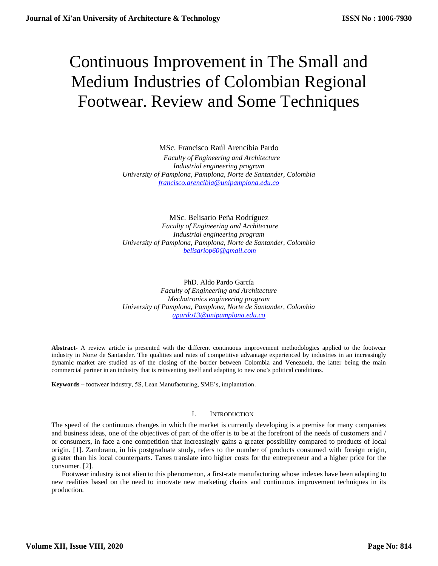# Continuous Improvement in The Small and Medium Industries of Colombian Regional Footwear. Review and Some Techniques

MSc. Francisco Raúl Arencibia Pardo  *Faculty of Engineering and Architecture Industrial engineering program University of Pamplona, Pamplona, Norte de Santander, Colombia [francisco.arencibia@unipamplona.edu.co](mailto:francisco.arencibia@unipamplona.edu.co)*

MSc. Belisario Peña Rodríguez  *Faculty of Engineering and Architecture Industrial engineering program University of Pamplona, Pamplona, Norte de Santander, Colombia [belisariop60@gmail.com](mailto:%20belisariop60@gmail.com)* 

PhD. Aldo Pardo García *Faculty of Engineering and Architecture Mechatronics engineering program University of Pamplona, Pamplona, Norte de Santander, Colombia [apardo13@unipamplona.edu.co](mailto:apardo13@unipamplona.edu.co)*

**Abstract-** A review article is presented with the different continuous improvement methodologies applied to the footwear industry in Norte de Santander. The qualities and rates of competitive advantage experienced by industries in an increasingly dynamic market are studied as of the closing of the border between Colombia and Venezuela, the latter being the main commercial partner in an industry that is reinventing itself and adapting to new one's political conditions.

**Keywords –** footwear industry, 5S, Lean Manufacturing, SME's, implantation.

## I. INTRODUCTION

The speed of the continuous changes in which the market is currently developing is a premise for many companies and business ideas, one of the objectives of part of the offer is to be at the forefront of the needs of customers and / or consumers, in face a one competition that increasingly gains a greater possibility compared to products of local origin. [1]. Zambrano, in his postgraduate study, refers to the number of products consumed with foreign origin, greater than his local counterparts. Taxes translate into higher costs for the entrepreneur and a higher price for the consumer. [2].

Footwear industry is not alien to this phenomenon, a first-rate manufacturing whose indexes have been adapting to new realities based on the need to innovate new marketing chains and continuous improvement techniques in its production.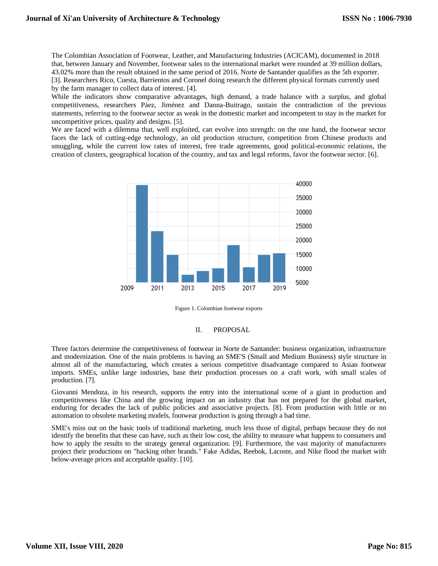The Colombian Association of Footwear, Leather, and Manufacturing Industries (ACICAM), documented in 2018 that, between January and November, footwear sales to the international market were rounded at 39 million dollars, 43.02% more than the result obtained in the same period of 2016. Norte de Santander qualifies as the 5th exporter. [3]. Researchers Rico, Cuesta, Barrientos and Coronel doing research the different physical formats currently used by the farm manager to collect data of interest. [4].

While the indicators show comparative advantages, high demand, a trade balance with a surplus, and global competitiveness, researchers Páez, Jiménez and Danna-Buitrago, sustain the contradiction of the previous statements, referring to the footwear sector as weak in the domestic market and incompetent to stay in the market for uncompetitive prices, quality and designs. [5].

We are faced with a dilemma that, well exploited, can evolve into strength: on the one hand, the footwear sector faces the lack of cutting-edge technology, an old production structure, competition from Chinese products and smuggling, while the current low rates of interest, free trade agreements, good political-economic relations, the creation of clusters, geographical location of the country, and tax and legal reforms, favor the footwear sector. [6].





#### II. PROPOSAL

Three factors determine the competitiveness of footwear in Norte de Santander: business organization, infrastructure and modernization. One of the main problems is having an SME'S (Small and Medium Business) style structure in almost all of the manufacturing, which creates a serious competitive disadvantage compared to Asian footwear imports. SMEs, unlike large industries, base their production processes on a craft work, with small scales of production. [7].

Giovanni Mendoza, in his research, supports the entry into the international scene of a giant in production and competitiveness like China and the growing impact on an industry that has not prepared for the global market, enduring for decades the lack of public policies and associative projects. [8]. From production with little or no automation to obsolete marketing models, footwear production is going through a bad time.

SME's miss out on the basic tools of traditional marketing, much less those of digital, perhaps because they do not identify the benefits that these can have, such as their low cost, the ability to measure what happens to consumers and how to apply the results to the strategy general organization. [9]. Furthermore, the vast majority of manufacturers project their productions on "hacking other brands." Fake Adidas, Reebok, Lacoste, and Nike flood the market with below-average prices and acceptable quality. [10].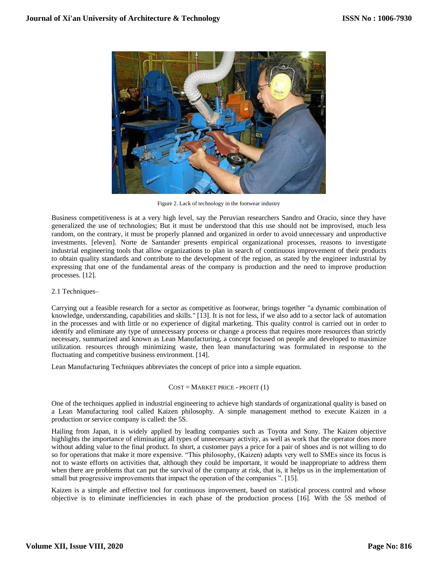

Figure 2. Lack of technology in the footwear industry

Business competitiveness is at a very high level, say the Peruvian researchers Sandro and Oracio, since they have generalized the use of technologies; But it must be understood that this use should not be improvised, much less random, on the contrary, it must be properly planned and organized in order to avoid unnecessary and unproductive investments. [eleven]. Norte de Santander presents empirical organizational processes, reasons to investigate industrial engineering tools that allow organizations to plan in search of continuous improvement of their products to obtain quality standards and contribute to the development of the region, as stated by the engineer industrial by expressing that one of the fundamental areas of the company is production and the need to improve production processes. [12].

## 2.1 Techniques–

Carrying out a feasible research for a sector as competitive as footwear, brings together "a dynamic combination of knowledge, understanding, capabilities and skills." [13]. It is not for less, if we also add to a sector lack of automation in the processes and with little or no experience of digital marketing. This quality control is carried out in order to identify and eliminate any type of unnecessary process or change a process that requires more resources than strictly necessary, summarized and known as Lean Manufacturing, a concept focused on people and developed to maximize utilization. resources through minimizing waste, then lean manufacturing was formulated in response to the fluctuating and competitive business environment. [14].

Lean Manufacturing Techniques abbreviates the concept of price into a simple equation.

## $COST = MARKET PRICE - PROFIT (1)$

One of the techniques applied in industrial engineering to achieve high standards of organizational quality is based on a Lean Manufacturing tool called Kaizen philosophy. A simple management method to execute Kaizen in a production or service company is called: the 5S.

Hailing from Japan, it is widely applied by leading companies such as Toyota and Sony. The Kaizen objective highlights the importance of eliminating all types of unnecessary activity, as well as work that the operator does more without adding value to the final product. In short, a customer pays a price for a pair of shoes and is not willing to do so for operations that make it more expensive. "This philosophy, (Kaizen) adapts very well to SMEs since its focus is not to waste efforts on activities that, although they could be important, it would be inappropriate to address them when there are problems that can put the survival of the company at risk, that is, it helps us in the implementation of small but progressive improvements that impact the operation of the companies ". [15].

Kaizen is a simple and effective tool for continuous improvement, based on statistical process control and whose objective is to eliminate inefficiencies in each phase of the production process [16]. With the 5S method of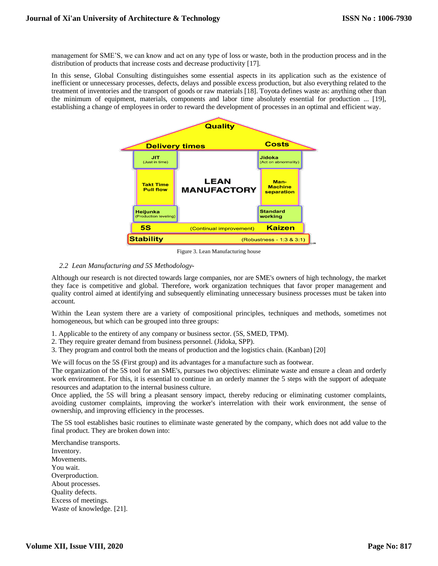management for SME'S, we can know and act on any type of loss or waste, both in the production process and in the distribution of products that increase costs and decrease productivity [17].

In this sense, Global Consulting distinguishes some essential aspects in its application such as the existence of inefficient or unnecessary processes, defects, delays and possible excess production, but also everything related to the treatment of inventories and the transport of goods or raw materials [18]. Toyota defines waste as: anything other than the minimum of equipment, materials, components and labor time absolutely essential for production ... [19], establishing a change of employees in order to reward the development of processes in an optimal and efficient way.



Figure 3. Lean Manufacturing house

# *2.2 Lean Manufacturing and 5S Methodology-*

Although our research is not directed towards large companies, nor are SME's owners of high technology, the market they face is competitive and global. Therefore, work organization techniques that favor proper management and quality control aimed at identifying and subsequently eliminating unnecessary business processes must be taken into account.

Within the Lean system there are a variety of compositional principles, techniques and methods, sometimes not homogeneous, but which can be grouped into three groups:

1. Applicable to the entirety of any company or business sector. (5S, SMED, TPM).

2. They require greater demand from business personnel. (Jidoka, SPP).

3. They program and control both the means of production and the logistics chain. (Kanban) [20]

We will focus on the 5S (First group) and its advantages for a manufacture such as footwear.

The organization of the 5S tool for an SME's, pursues two objectives: eliminate waste and ensure a clean and orderly work environment. For this, it is essential to continue in an orderly manner the 5 steps with the support of adequate resources and adaptation to the internal business culture.

Once applied, the 5S will bring a pleasant sensory impact, thereby reducing or eliminating customer complaints, avoiding customer complaints, improving the worker's interrelation with their work environment, the sense of ownership, and improving efficiency in the processes.

The 5S tool establishes basic routines to eliminate waste generated by the company, which does not add value to the final product. They are broken down into:

Merchandise transports. Inventory. Movements. You wait. Overproduction. About processes. Quality defects. Excess of meetings. Waste of knowledge. [21].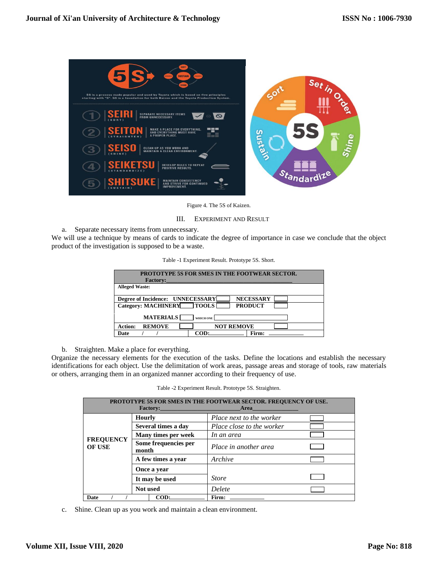

Figure 4. The 5S of Kaizen.

## III. EXPERIMENT AND RESULT

a. Separate necessary items from unnecessary.

We will use a technique by means of cards to indicate the degree of importance in case we conclude that the object product of the investigation is supposed to be a waste.

| Table -1 Experiment Result. Prototype 5S. Short. |
|--------------------------------------------------|
|--------------------------------------------------|

| <b>PROTOTYPE 5S FOR SMES IN THE FOOTWEAR SECTOR.</b> |                           |                   |                |  |
|------------------------------------------------------|---------------------------|-------------------|----------------|--|
|                                                      |                           |                   |                |  |
| <b>Factory:</b>                                      |                           |                   |                |  |
| <b>Alleged Waste:</b>                                |                           |                   |                |  |
|                                                      |                           |                   |                |  |
| <b>NECESSARY</b><br>Degree of Incidence: UNNECESSARY |                           |                   |                |  |
|                                                      |                           |                   |                |  |
|                                                      | Category: MACHINERY TOOLS |                   | <b>PRODUCT</b> |  |
|                                                      |                           |                   |                |  |
|                                                      | <b>MATERIALS</b>          |                   |                |  |
| WHICH ONE                                            |                           |                   |                |  |
| Action:                                              | <b>REMOVE</b>             | <b>NOT REMOVE</b> |                |  |
|                                                      |                           |                   |                |  |
| <b>Date</b>                                          |                           | COD:              | Firm:          |  |
|                                                      |                           |                   |                |  |

b. Straighten. Make a place for everything.

Organize the necessary elements for the execution of the tasks. Define the locations and establish the necessary identifications for each object. Use the delimitation of work areas, passage areas and storage of tools, raw materials or others, arranging them in an organized manner according to their frequency of use.

Table -2 Experiment Result. Prototype 5S. Straighten.

| PROTOTYPE 5S FOR SMES IN THE FOOTWEAR SECTOR. FREQUENCY OF USE.<br>Factory:<br>Area |                               |                           |  |
|-------------------------------------------------------------------------------------|-------------------------------|---------------------------|--|
|                                                                                     | <b>Hourly</b>                 | Place next to the worker  |  |
| <b>FREQUENCY</b><br><b>OF USE</b>                                                   | Several times a day           | Place close to the worker |  |
|                                                                                     | Many times per week           | In an area                |  |
|                                                                                     | Some frequencies per<br>month | Place in another area     |  |
|                                                                                     | A few times a year            | Archive                   |  |
|                                                                                     | Once a year                   |                           |  |
|                                                                                     | It may be used                | <b>Store</b>              |  |
|                                                                                     | Not used                      | <b>Delete</b>             |  |
| <b>Date</b>                                                                         | COD:                          | Firm:                     |  |

c. Shine. Clean up as you work and maintain a clean environment.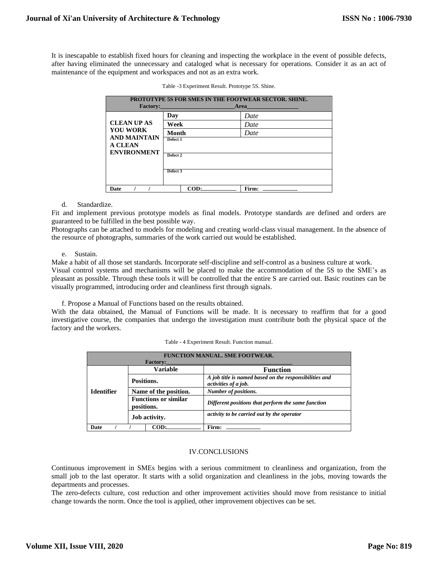It is inescapable to establish fixed hours for cleaning and inspecting the workplace in the event of possible defects, after having eliminated the unnecessary and cataloged what is necessary for operations. Consider it as an act of maintenance of the equipment and workspaces and not as an extra work.

| <b>PROTOTYPE 5S FOR SMES IN THE FOOTWEAR SECTOR. SHINE.</b><br><b>Factory: Example 2008</b><br>Area |              |       |  |  |
|-----------------------------------------------------------------------------------------------------|--------------|-------|--|--|
|                                                                                                     | Day          | Date  |  |  |
| <b>CLEAN UP AS</b>                                                                                  | Week         | Date  |  |  |
| <b>YOU WORK</b><br><b>AND MAINTAIN</b>                                                              | <b>Month</b> | Date  |  |  |
| <b>A CLEAN</b><br><b>ENVIRONMENT</b>                                                                | Defect 1     |       |  |  |
|                                                                                                     | Defect 2     |       |  |  |
|                                                                                                     | Defect 3     |       |  |  |
| <b>Date</b>                                                                                         | COD:         | Firm: |  |  |

| Table -3 Experiment Result. Prototype 5S. Shine. |  |
|--------------------------------------------------|--|
|--------------------------------------------------|--|

## d. Standardize.

Fit and implement previous prototype models as final models. Prototype standards are defined and orders are guaranteed to be fulfilled in the best possible way.

Photographs can be attached to models for modeling and creating world-class visual management. In the absence of the resource of photographs, summaries of the work carried out would be established.

#### e. Sustain.

Make a habit of all those set standards. Incorporate self-discipline and self-control as a business culture at work.

Visual control systems and mechanisms will be placed to make the accommodation of the 5S to the SME's as pleasant as possible. Through these tools it will be controlled that the entire S are carried out. Basic routines can be visually programmed, introducing order and cleanliness first through signals.

f. Propose a Manual of Functions based on the results obtained.

With the data obtained, the Manual of Functions will be made. It is necessary to reaffirm that for a good investigative course, the companies that undergo the investigation must contribute both the physical space of the factory and the workers.

| FUNCTION MANUAL. SME FOOTWEAR.<br><b>Factory:</b> |                                           |                                                                                |  |
|---------------------------------------------------|-------------------------------------------|--------------------------------------------------------------------------------|--|
|                                                   | <b>Variable</b>                           | <b>Function</b>                                                                |  |
|                                                   | Positions.                                | A job title is named based on the responsibilities and<br>activities of a job. |  |
| <b>Identifier</b>                                 | Name of the position.                     | <b>Number of positions.</b>                                                    |  |
|                                                   | <b>Functions or similar</b><br>positions. | Different positions that perform the same function                             |  |
|                                                   | Job activity.                             | activity to be carried out by the operator                                     |  |
| COD:<br><b>Date</b>                               |                                           | Firm:                                                                          |  |

Table - 4 Experiment Result. Function manual.

## IV.CONCLUSIONS

Continuous improvement in SMEs begins with a serious commitment to cleanliness and organization, from the small job to the last operator. It starts with a solid organization and cleanliness in the jobs, moving towards the departments and processes.

The zero-defects culture, cost reduction and other improvement activities should move from resistance to initial change towards the norm. Once the tool is applied, other improvement objectives can be set.